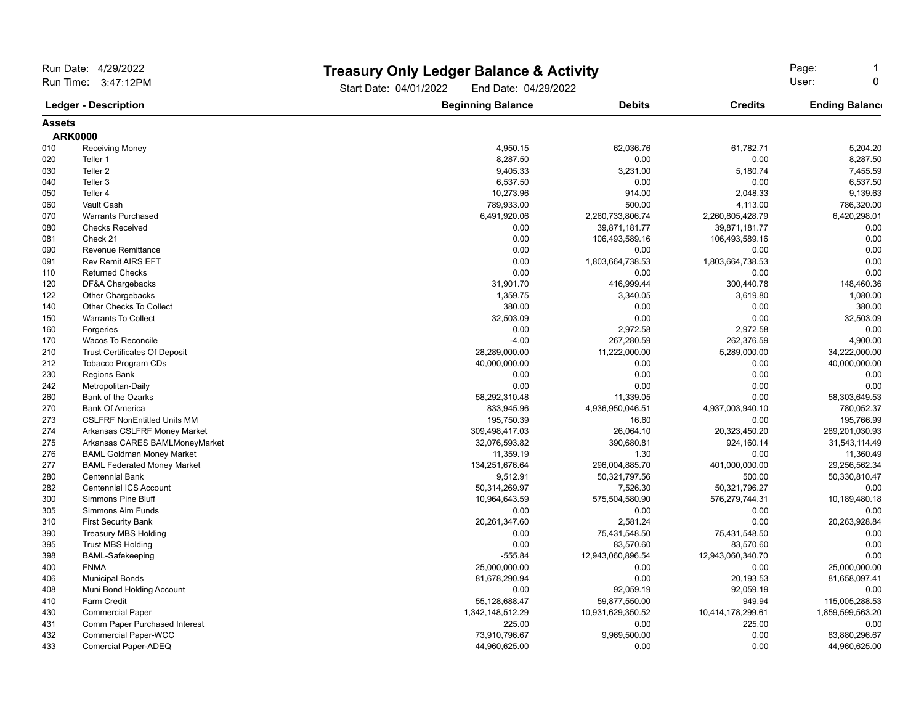| Run Date: 4/29/2022<br>Run Time: 3:47:12PM |                                      |                                                | <b>Treasury Only Ledger Balance &amp; Activity</b> |                   |                       |
|--------------------------------------------|--------------------------------------|------------------------------------------------|----------------------------------------------------|-------------------|-----------------------|
|                                            |                                      | Start Date: 04/01/2022<br>End Date: 04/29/2022 |                                                    |                   |                       |
| <b>Ledger - Description</b>                |                                      | <b>Beginning Balance</b>                       | <b>Debits</b>                                      | <b>Credits</b>    | <b>Ending Balance</b> |
| <b>Assets</b>                              |                                      |                                                |                                                    |                   |                       |
| <b>ARK0000</b>                             |                                      |                                                |                                                    |                   |                       |
| 010                                        | <b>Receiving Money</b>               | 4,950.15                                       | 62,036.76                                          | 61,782.71         | 5,204.20              |
| 020                                        | Teller 1                             | 8,287.50                                       | 0.00                                               | 0.00              | 8,287.50              |
| 030                                        | Teller <sub>2</sub>                  | 9,405.33                                       | 3,231.00                                           | 5,180.74          | 7,455.59              |
| 040                                        | Teller 3                             | 6,537.50                                       | 0.00                                               | 0.00              | 6,537.50              |
| 050                                        | Teller 4                             | 10,273.96                                      | 914.00                                             | 2,048.33          | 9,139.63              |
| 060                                        | Vault Cash                           | 789,933.00                                     | 500.00                                             | 4,113.00          | 786,320.00            |
| 070                                        | <b>Warrants Purchased</b>            | 6,491,920.06                                   | 2,260,733,806.74                                   | 2,260,805,428.79  | 6,420,298.01          |
| 080                                        | <b>Checks Received</b>               | 0.00                                           | 39,871,181.77                                      | 39,871,181.77     | 0.00                  |
| 081                                        | Check 21                             | 0.00                                           | 106,493,589.16                                     | 106,493,589.16    | 0.00                  |
| 090                                        | <b>Revenue Remittance</b>            | 0.00                                           | 0.00                                               | 0.00              | 0.00                  |
| 091                                        | <b>Rev Remit AIRS EFT</b>            | 0.00                                           | 1,803,664,738.53                                   | 1,803,664,738.53  | 0.00                  |
| 110                                        | <b>Returned Checks</b>               | 0.00                                           | 0.00                                               | 0.00              | 0.00                  |
| 120                                        | DF&A Chargebacks                     | 31,901.70                                      | 416,999.44                                         | 300,440.78        | 148,460.36            |
| 122                                        | Other Chargebacks                    | 1,359.75                                       | 3,340.05                                           | 3,619.80          | 1,080.00              |
| 140                                        | Other Checks To Collect              | 380.00                                         | 0.00                                               | 0.00              | 380.00                |
| 150                                        | <b>Warrants To Collect</b>           | 32,503.09                                      | 0.00                                               | 0.00              | 32,503.09             |
| 160                                        | Forgeries                            | 0.00                                           | 2,972.58                                           | 2,972.58          | 0.00                  |
| 170                                        | Wacos To Reconcile                   | $-4.00$                                        | 267,280.59                                         | 262,376.59        | 4,900.00              |
| 210                                        | <b>Trust Certificates Of Deposit</b> | 28,289,000.00                                  | 11,222,000.00                                      | 5,289,000.00      | 34,222,000.00         |
| 212                                        | Tobacco Program CDs                  | 40,000,000.00                                  | 0.00                                               | 0.00              | 40,000,000.00         |
| 230                                        | <b>Regions Bank</b>                  | 0.00                                           | 0.00                                               | 0.00              | 0.00                  |
| 242                                        | Metropolitan-Daily                   | 0.00                                           | 0.00                                               | 0.00              | 0.00                  |
| 260                                        | Bank of the Ozarks                   | 58,292,310.48                                  | 11,339.05                                          | 0.00              | 58,303,649.53         |
| 270                                        | <b>Bank Of America</b>               | 833,945.96                                     | 4,936,950,046.51                                   | 4,937,003,940.10  | 780,052.37            |
| 273                                        | <b>CSLFRF NonEntitled Units MM</b>   | 195,750.39                                     | 16.60                                              | 0.00              | 195,766.99            |
| 274                                        | Arkansas CSLFRF Money Market         | 309,498,417.03                                 | 26,064.10                                          | 20,323,450.20     | 289,201,030.93        |
| 275                                        | Arkansas CARES BAMLMoneyMarket       | 32,076,593.82                                  | 390,680.81                                         | 924,160.14        | 31,543,114.49         |
| 276                                        | <b>BAML Goldman Money Market</b>     | 11,359.19                                      | 1.30                                               | 0.00              | 11,360.49             |
| 277                                        | <b>BAML Federated Money Market</b>   | 134,251,676.64                                 | 296,004,885.70                                     | 401,000,000.00    | 29,256,562.34         |
| 280                                        | <b>Centennial Bank</b>               | 9,512.91                                       | 50,321,797.56                                      | 500.00            | 50,330,810.47         |
| 282                                        | Centennial ICS Account               | 50,314,269.97                                  | 7,526.30                                           | 50,321,796.27     | 0.00                  |
| 300                                        | <b>Simmons Pine Bluff</b>            | 10,964,643.59                                  | 575,504,580.90                                     | 576,279,744.31    | 10,189,480.18         |
| 305                                        | Simmons Aim Funds                    | 0.00                                           | 0.00                                               | 0.00              | 0.00                  |
| 310                                        | <b>First Security Bank</b>           | 20,261,347.60                                  | 2,581.24                                           | 0.00              | 20,263,928.84         |
| 390                                        | <b>Treasury MBS Holding</b>          | 0.00                                           | 75,431,548.50                                      | 75,431,548.50     | 0.00                  |
| 395                                        | <b>Trust MBS Holding</b>             | 0.00                                           | 83,570.60                                          | 83,570.60         | 0.00                  |
| 398                                        | <b>BAML-Safekeeping</b>              | $-555.84$                                      | 12,943,060,896.54                                  | 12,943,060,340.70 | 0.00                  |
| 400                                        | <b>FNMA</b>                          | 25,000,000.00                                  | 0.00                                               | 0.00              | 25,000,000.00         |
| 406                                        | <b>Municipal Bonds</b>               | 81,678,290.94                                  | 0.00                                               | 20,193.53         | 81,658,097.41         |
| 408                                        | Muni Bond Holding Account            | 0.00                                           | 92,059.19                                          | 92,059.19         | 0.00                  |
| 410                                        | Farm Credit                          | 55,128,688.47                                  | 59,877,550.00                                      | 949.94            | 115,005,288.53        |
| 430                                        | <b>Commercial Paper</b>              | 1,342,148,512.29                               | 10,931,629,350.52                                  | 10,414,178,299.61 | 1,859,599,563.20      |
| 431                                        | Comm Paper Purchased Interest        | 225.00                                         | 0.00                                               | 225.00            | 0.00                  |
| 432                                        | <b>Commercial Paper-WCC</b>          | 73,910,796.67                                  | 9,969,500.00                                       | 0.00              | 83,880,296.67         |
| 433                                        | Comercial Paper-ADEQ                 | 44,960,625.00                                  | 0.00                                               | 0.00              | 44,960,625.00         |